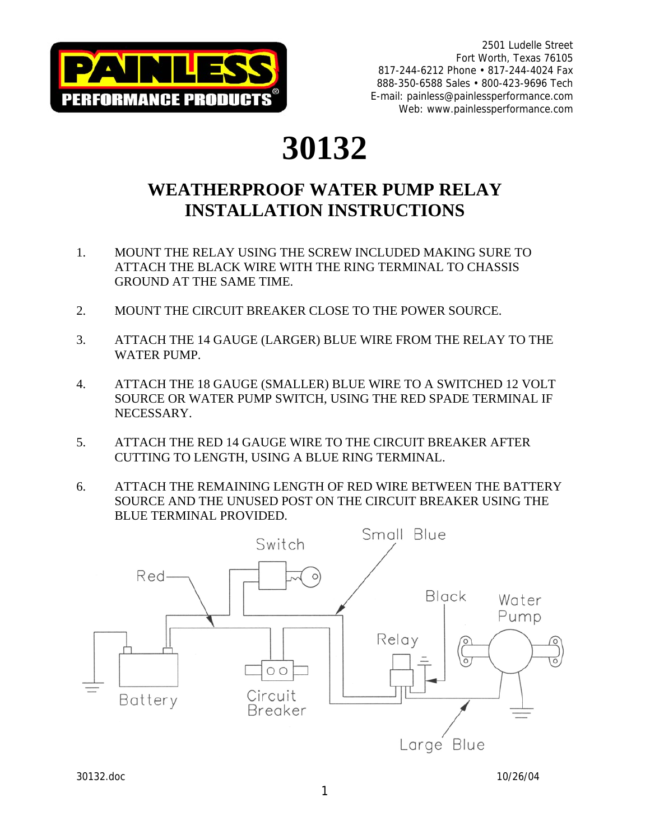

## **30132**

## **WEATHERPROOF WATER PUMP RELAY INSTALLATION INSTRUCTIONS**

- 1. MOUNT THE RELAY USING THE SCREW INCLUDED MAKING SURE TO ATTACH THE BLACK WIRE WITH THE RING TERMINAL TO CHASSIS GROUND AT THE SAME TIME.
- 2. MOUNT THE CIRCUIT BREAKER CLOSE TO THE POWER SOURCE.
- 3. ATTACH THE 14 GAUGE (LARGER) BLUE WIRE FROM THE RELAY TO THE WATER PUMP.
- 4. ATTACH THE 18 GAUGE (SMALLER) BLUE WIRE TO A SWITCHED 12 VOLT SOURCE OR WATER PUMP SWITCH, USING THE RED SPADE TERMINAL IF NECESSARY.
- 5. ATTACH THE RED 14 GAUGE WIRE TO THE CIRCUIT BREAKER AFTER CUTTING TO LENGTH, USING A BLUE RING TERMINAL.
- 6. ATTACH THE REMAINING LENGTH OF RED WIRE BETWEEN THE BATTERY SOURCE AND THE UNUSED POST ON THE CIRCUIT BREAKER USING THE BLUE TERMINAL PROVIDED.